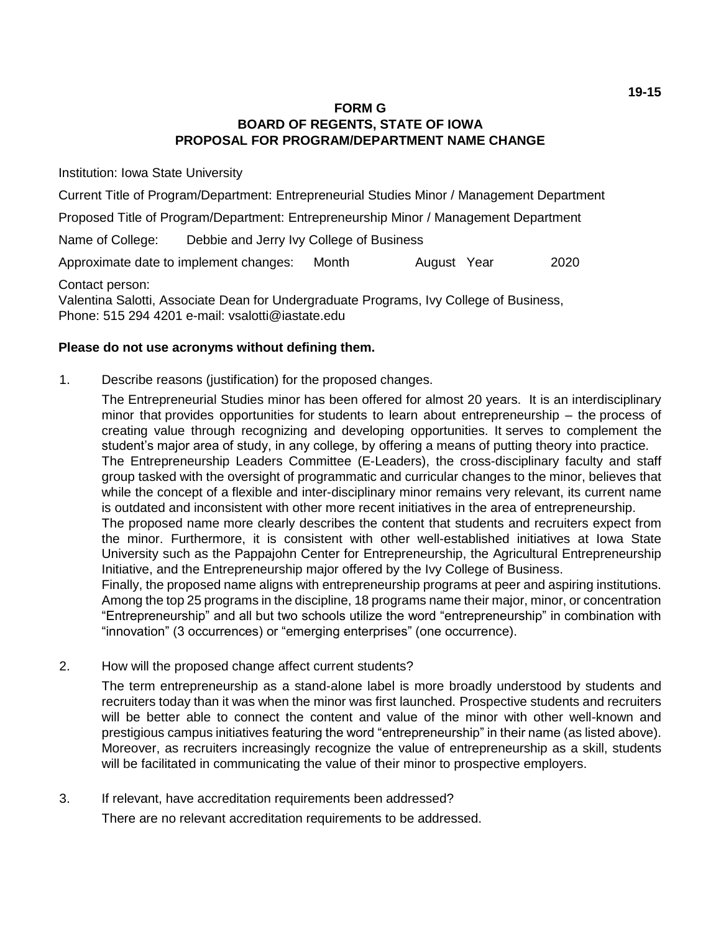## **FORM G BOARD OF REGENTS, STATE OF IOWA PROPOSAL FOR PROGRAM/DEPARTMENT NAME CHANGE**

Institution: Iowa State University

Current Title of Program/Department: Entrepreneurial Studies Minor / Management Department

Proposed Title of Program/Department: Entrepreneurship Minor / Management Department

Name of College: Debbie and Jerry Ivy College of Business

Approximate date to implement changes: Month August Year 2020

Contact person:

Valentina Salotti, Associate Dean for Undergraduate Programs, Ivy College of Business, Phone: 515 294 4201 e-mail: vsalotti@iastate.edu

## **Please do not use acronyms without defining them.**

1. Describe reasons (justification) for the proposed changes.

The Entrepreneurial Studies minor has been offered for almost 20 years. It is an interdisciplinary minor that provides opportunities for students to learn about entrepreneurship – the process of creating value through recognizing and developing opportunities. It serves to complement the student's major area of study, in any college, by offering a means of putting theory into practice. The Entrepreneurship Leaders Committee (E-Leaders), the cross-disciplinary faculty and staff group tasked with the oversight of programmatic and curricular changes to the minor, believes that while the concept of a flexible and inter-disciplinary minor remains very relevant, its current name is outdated and inconsistent with other more recent initiatives in the area of entrepreneurship.

The proposed name more clearly describes the content that students and recruiters expect from the minor. Furthermore, it is consistent with other well-established initiatives at Iowa State University such as the Pappajohn Center for Entrepreneurship, the Agricultural Entrepreneurship Initiative, and the Entrepreneurship major offered by the Ivy College of Business.

Finally, the proposed name aligns with entrepreneurship programs at peer and aspiring institutions. Among the top 25 programs in the discipline, 18 programs name their major, minor, or concentration "Entrepreneurship" and all but two schools utilize the word "entrepreneurship" in combination with "innovation" (3 occurrences) or "emerging enterprises" (one occurrence).

2. How will the proposed change affect current students?

The term entrepreneurship as a stand-alone label is more broadly understood by students and recruiters today than it was when the minor was first launched. Prospective students and recruiters will be better able to connect the content and value of the minor with other well-known and prestigious campus initiatives featuring the word "entrepreneurship" in their name (as listed above). Moreover, as recruiters increasingly recognize the value of entrepreneurship as a skill, students will be facilitated in communicating the value of their minor to prospective employers.

3. If relevant, have accreditation requirements been addressed?

There are no relevant accreditation requirements to be addressed.